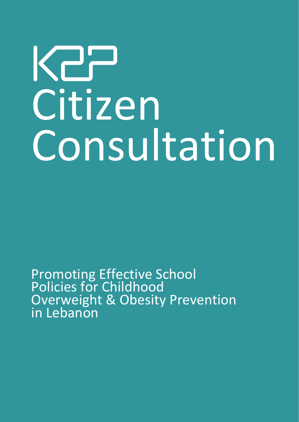## K27 Citizen Consultation

Promoting Effective School Policies for Childhood Overweight & Obesity Prevention in Lebanon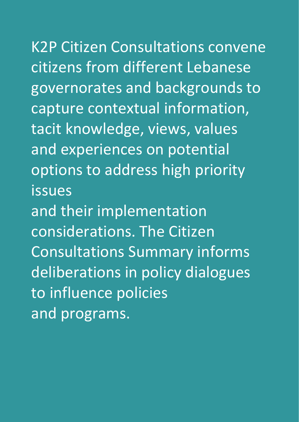K2P Citizen Consultations convene citizens from different Lebanese governorates and backgrounds to capture contextual information, tacit knowledge, views, values and experiences on potential options to address high priority issues and their implementation considerations. The Citizen Consultations Summary informs deliberations in policy dialogues to influence policies

and programs.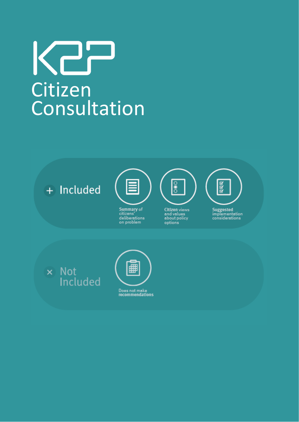### Kar Citizen **Consultation**

+ Included



citizens'<br>deliberations<br>on problem



Citizen views<br>and values<br>about policy options



Suggested<br>implementation<br>considerations

x Not<br>Included

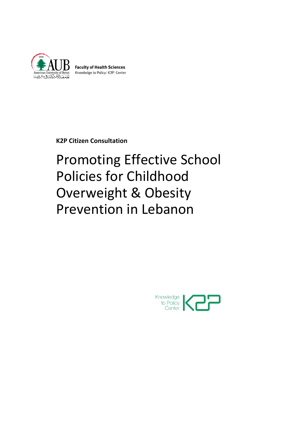

**Faculty of Health Sciences** Knowledge to Policy | K2P | Center

**K2P Citizen Consultation**

#### Promoting Effective School Policies for Childhood Overweight & Obesity Prevention in Lebanon

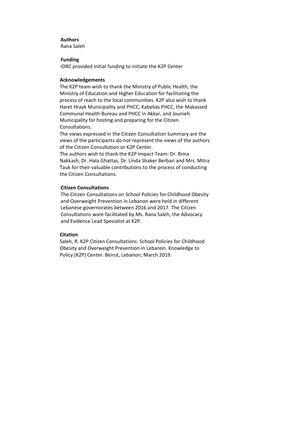#### **Authors**

Rana Saleh

#### **Funding**

IDRC provided initial funding to initiate the K2P Center

#### **Acknowledgements**

The K2P team wish to thank the Ministry of Public Health, the Ministry of Education and Higher Education for facilitating the process of reach to the local communities. K2P also wish to thank Haret Hrayk Municipality and PHCC, Kabelias PHCC, the Makassed Communal Health Bureau and PHCC in Akkar, and Jounieh Municipality for hosting and preparing for the Citizen Consultations.

The views expressed in the Citizen Consultation Summary are the views of the participants do not represent the views of the authors of the Citizen Consultation or K2P Center.

The authors wish to thank the K2P Impact Team: Dr. Rima Nakkash, Dr. Hala Ghattas, Dr. Linda Shaker Berbari and Mrs. Mitra Tauk for their valuable contributions to the process of conducting the Citizen Consultations.

#### **Citizen Consultations**

The Citizen Consultations on School Policies for Childhood Obesity and Overweight Prevention in Lebanon were held in different Lebanese governorates between 2016 and 2017. The Citizen Consultations ware facilitated by Ms. Rana Saleh, the Advocacy and Evidence Lead Specialist at K2P.

#### **Citation**

Saleh, R. K2P Citizen Consultations: School Policies for Childhood Obesity and Overweight Prevention in Lebanon. Knowledge to Policy (K2P) Center. Beirut, Lebanon; March 2019.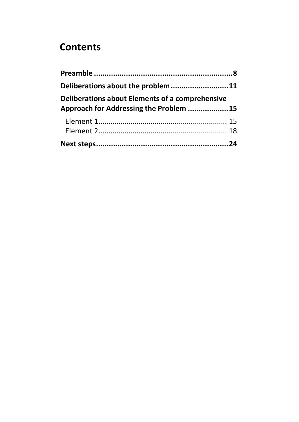#### **Contents**

| Deliberations about the problem 11                                                        |  |
|-------------------------------------------------------------------------------------------|--|
| Deliberations about Elements of a comprehensive<br>Approach for Addressing the Problem 15 |  |
|                                                                                           |  |
|                                                                                           |  |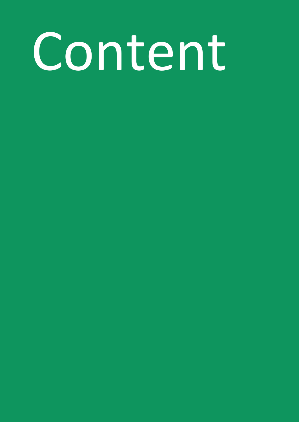# Content

- 
- 
- 
- 
- -
	- -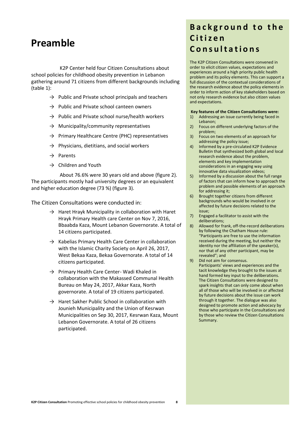#### <span id="page-7-0"></span>**Preamble**

K2P Center held four Citizen Consultations about school policies for childhood obesity prevention in Lebanon gathering around 71 citizens from different backgrounds including (table 1):

- $\rightarrow$  Public and Private school principals and teachers
- $\rightarrow$  Public and Private school canteen owners
- $\rightarrow$  Public and Private school nurse/health workers
- $\rightarrow$  Municipality/community representatives
- $\rightarrow$  Primary Healthcare Centre (PHC) representatives
- $\rightarrow$  Physicians, dietitians, and social workers
- $\rightarrow$  Parents
- $\rightarrow$  Children and Youth

About 76.6% were 30 years old and above (figure 2). The participants mostly had university degrees or an equivalent and higher education degree (73 %) (figure 3).

The Citizen Consultations were conducted in:

- $\rightarrow$  Haret Hrayk Municipality in collaboration with Haret Hrayk Primary Health care Center on Nov 7, 2016, Bbaabda Kaza, Mount Lebanon Governorate. A total of 14 citizens participated.
- $\rightarrow$  Kabelias Primary Health Care Center in collaboration with the Islamic Charity Society on April 26, 2017, West Bekaa Kaza, Bekaa Governorate. A total of 14 citizens participated.
- → Primary Health Care Center- Wadi Khaled in collaboration with the Makassed Communal Health Bureau on May 24, 2017, Akkar Kaza, North governorate. A total of 19 citizens participated.
- $\rightarrow$  Haret Sakher Public School in collaboration with Jounieh Municipality and the Union of Kesrwan Municipalities on Sep 30, 2017, Kesrwan Kaza, Mount Lebanon Governorate. A total of 26 citizens participated.

#### **B a c k g r o u n d t o t h e C i t i z e n C o n s u l t a t i o n s**

The K2P Citizen Consultations were convened in order to elicit citizen values, expectations and experiences around a high priority public health problem and its policy elements. This can support a full discussion of the contextual considerations of the research evidence about the policy elements in order to inform action of key stakeholders based on not only research evidence but also citizen values and expectations.

#### **Key features of the Citizen Consultations were:**

- 1) Addressing an issue currently being faced in Lebanon;
- 2) Focus on different underlying factors of the problem;
- 3) Focus on two elements of an approach for addressing the policy issue;
- 4) Informed by a pre-circulated K2P Evidence Bulletin that synthesized both global and local research evidence about the problem, elements and key implementation considerations in an engaging way using innovative data visualization videos;
- 5) Informed by a discussion about the full range of factors that can inform how to approach the problem and possible elements of an approach for addressing it;
- 6) Brought together citizens from different backgrounds who would be involved in or affected by future decisions related to the issue;
- 7) Engaged a facilitator to assist with the deliberations;
- 8) Allowed for frank, off-the-record deliberations by following the Chatham House rule: "Participants are free to use the information received during the meeting, but neither the identity nor the affiliation of the speaker(s), nor that of any other participant, may be revealed"; and
- 9) Did not aim for consensus. Participants' views and experiences and the tacit knowledge they brought to the issues at hand formed key input to the deliberations. The Citizen Consultations were designed to spark insights that can only come about when all of those who will be involved in or affected by future decisions about the issue can work through it together. The dialogue was also designed to promote action and advocacy by those who participate in the Consultations and by those who review the Citizen Consultations Summary.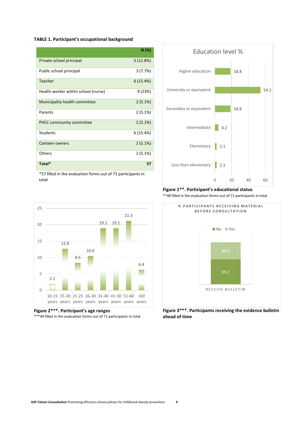#### **TABLE 1. Participant's occupational background**

|                                     | N(%)     |
|-------------------------------------|----------|
| Private school principal            | 5(12.8%) |
| Public school principal             | 3(7.7%)  |
| Teacher                             | 6(15.4%) |
| Health worker within school (nurse) | 9(23%)   |
| Municipality health committee       | 2(5.1%)  |
| Parents                             | 2(5.1%)  |
| <b>PHCC community committee</b>     | 2(5.1%)  |
| Students                            | 6(15.4%) |
| Canteen owners                      | 2(5.1%)  |
| <b>Others</b>                       | 2(5.1%)  |
| Total*                              | 57       |

\*57 filled in the evaluation forms out of 71 participants in total



**Figure 2\*\*\*. Participant's age ranges**

\*\*\*49 filled in the evaluation forms out of 71 participants in total



#### **Figure 1\*\*. Participant's educational status** \*\*48 filled in the evaluation forms out of 71 participants in total



**Figure 3\*\*\*. Participants receiving the evidence bulletin ahead of time**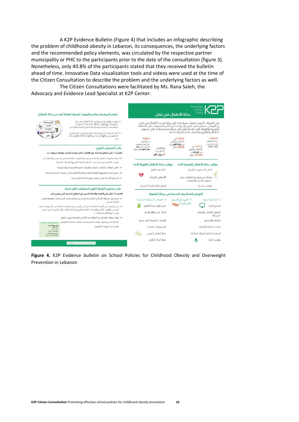A K2P Evidence Bulletin (Figure 4) that includes an infographic describing the problem of childhood obesity in Lebanon, its consequences, the underlying factors and the recommended policy elements, was circulated by the respective partner municipality or PHC to the participants prior to the date of the consultation (figure 3). Nonetheless, only 40.8% of the participants stated that they received the bulletin ahead of time. Innovative Data visualization tools and videos were used at the time of the Citizen Consultation to describe the problem and the underlying factors as well.

The Citizen Consultations were facilitated by Ms. Rana Saleh, the Advocacy and Evidence Lead Specialist at K2P Center.



<span id="page-9-0"></span>**Figure 4.** K2P Evidence bulletin on School Policies for Childhood Obesity and Overweight Prevention in Lebanon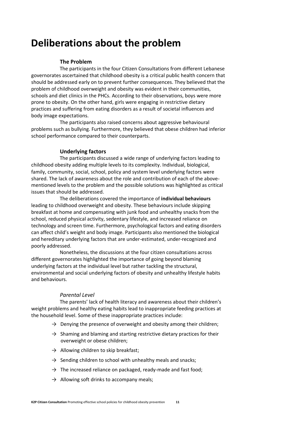#### **Deliberations about the problem**

#### **The Problem**

The participants in the four Citizen Consultations from different Lebanese governorates ascertained that childhood obesity is a critical public health concern that should be addressed early on to prevent further consequences. They believed that the problem of childhood overweight and obesity was evident in their communities, schools and diet clinics in the PHCs. According to their observations, boys were more prone to obesity. On the other hand, girls were engaging in restrictive dietary practices and suffering from eating disorders as a result of societal influences and body image expectations.

The participants also raised concerns about aggressive behavioural problems such as bullying. Furthermore, they believed that obese children had inferior school performance compared to their counterparts.

#### **Underlying factors**

The participants discussed a wide range of underlying factors leading to childhood obesity adding multiple levels to its complexity. Individual, biological, family, community, social, school, policy and system level underlying factors were shared. The lack of awareness about the role and contribution of each of the abovementioned levels to the problem and the possible solutions was highlighted as critical issues that should be addressed.

The deliberations covered the importance of **individual behaviours** leading to childhood overweight and obesity. These behaviours include skipping breakfast at home and compensating with junk food and unhealthy snacks from the school, reduced physical activity, sedentary lifestyle, and increased reliance on technology and screen time. Furthermore, psychological factors and eating disorders can affect child's weight and body image. Participants also mentioned the biological and hereditary underlying factors that are under-estimated, under-recognized and poorly addressed.

Nonetheless, the discussions at the four citizen consultations across different governorates highlighted the importance of going beyond blaming underlying factors at the individual level but rather tackling the structural, environmental and social underlying factors of obesity and unhealthy lifestyle habits and behaviours.

#### *Parental Level*

The parents' lack of health literacy and awareness about their children's weight problems and healthy eating habits lead to inappropriate feeding practices at the household level. Some of these inappropriate practices include:

- $\rightarrow$  Denying the presence of overweight and obesity among their children;
- $\rightarrow$  Shaming and blaming and starting restrictive dietary practices for their overweight or obese children;
- $\rightarrow$  Allowing children to skip breakfast;
- $\rightarrow$  Sending children to school with unhealthy meals and snacks;
- $\rightarrow$  The increased reliance on packaged, ready-made and fast food;
- $\rightarrow$  Allowing soft drinks to accompany meals;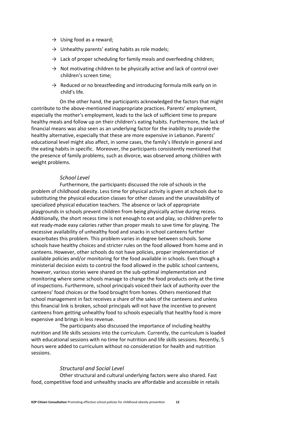- $\rightarrow$  Using food as a reward;
- $\rightarrow$  Unhealthy parents' eating habits as role models;
- $\rightarrow$  Lack of proper scheduling for family meals and overfeeding children;
- $\rightarrow$  Not motivating children to be physically active and lack of control over children's screen time;
- $\rightarrow$  Reduced or no breastfeeding and introducing formula milk early on in child's life.

On the other hand, the participants acknowledged the factors that might contribute to the above-mentioned inappropriate practices. Parents' employment, especially the mother's employment, leads to the lack of sufficient time to prepare healthy meals and follow up on their children's eating habits. Furthermore, the lack of financial means was also seen as an underlying factor for the inability to provide the healthy alternative, especially that these are more expensive in Lebanon. Parents' educational level might also affect, in some cases, the family's lifestyle in general and the eating habits in specific. Moreover, the participants consistently mentioned that the presence of family problems, such as divorce, was observed among children with weight problems.

#### *School Level*

Furthermore, the participants discussed the role of schools in the problem of childhood obesity. Less time for physical activity is given at schools due to substituting the physical education classes for other classes and the unavailability of specialized physical education teachers. The absence or lack of appropriate playgrounds in schools prevent children from being physically active during recess. Additionally, the short recess time is not enough to eat and play, so children prefer to eat ready-made easy calories rather than proper meals to save time for playing. The excessive availability of unhealthy food and snacks in school canteens further exacerbates this problem. This problem varies in degree between schools. Some schools have healthy choices and stricter rules on the food allowed from home and in canteens. However, other schools do not have policies, proper implementation of available policies and/or monitoring for the food available in schools. Even though a ministerial decision exists to control the food allowed in the public school canteens, however, various stories were shared on the sub-optimal implementation and monitoring where some schools manage to change the food products only at the time of inspections. Furthermore, school principals voiced their lack of authority over the canteens' food choices or the food brought from homes. Others mentioned that school management in fact receives a share of the sales of the canteens and unless this financial link is broken, school principals will not have the incentive to prevent canteens from getting unhealthy food to schools especially that healthy food is more expensive and brings in less revenue.

The participants also discussed the importance of including healthy nutrition and life skills sessions into the curriculum. Currently, the curriculum is loaded with educational sessions with no time for nutrition and life skills sessions. Recently, 5 hours were added to curriculum without no consideration for health and nutrition sessions.

#### *Structural and Social Level*

Other structural and cultural underlying factors were also shared. Fast food, competitive food and unhealthy snacks are affordable and accessible in retails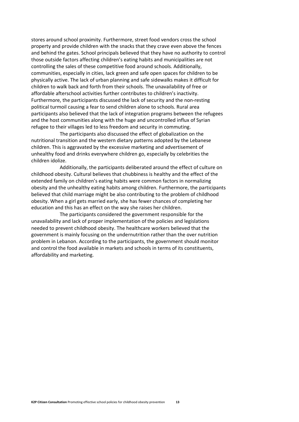stores around school proximity. Furthermore, street food vendors cross the school property and provide children with the snacks that they crave even above the fences and behind the gates. School principals believed that they have no authority to control those outside factors affecting children's eating habits and municipalities are not controlling the sales of these competitive food around schools. Additionally, communities, especially in cities, lack green and safe open spaces for children to be physically active. The lack of urban planning and safe sidewalks makes it difficult for children to walk back and forth from their schools. The unavailability of free or affordable afterschool activities further contributes to children's inactivity. Furthermore, the participants discussed the lack of security and the non-resting political turmoil causing a fear to send children alone to schools. Rural area participants also believed that the lack of integration programs between the refugees and the host communities along with the huge and uncontrolled influx of Syrian refugee to their villages led to less freedom and security in commuting.

The participants also discussed the effect of globalization on the nutritional transition and the western dietary patterns adopted by the Lebanese children. This is aggravated by the excessive marketing and advertisement of unhealthy food and drinks everywhere children go, especially by celebrities the children idolize.

Additionally, the participants deliberated around the effect of culture on childhood obesity. Cultural believes that chubbiness is healthy and the effect of the extended family on children's eating habits were common factors in normalizing obesity and the unhealthy eating habits among children. Furthermore, the participants believed that child marriage might be also contributing to the problem of childhood obesity. When a girl gets married early, she has fewer chances of completing her education and this has an effect on the way she raises her children.

The participants considered the government responsible for the unavailability and lack of proper implementation of the policies and legislations needed to prevent childhood obesity. The healthcare workers believed that the government is mainly focusing on the undernutrition rather than the over nutrition problem in Lebanon. According to the participants, the government should monitor and control the food available in markets and schools in terms of its constituents, affordability and marketing.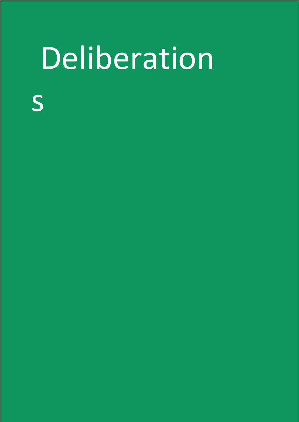## **Deliberation**

- s
	-
	-
- 
- 
- 
- 
- 
- 
- - -
		- - - -
					-
- -
- -
- - -
	-
- -
- 
- 
- - -
		-
		-
		-
		- -
		- -
	- -
- -
	-
- 
- 
- 
- 
- 
- 
- 
- 
- 
- 
- 
- 
- 
- 
- 
- 
- 
- 
- 
- 
- 
- 
- 
- 
- 
- 
- 
- 
- 
- 
- 
-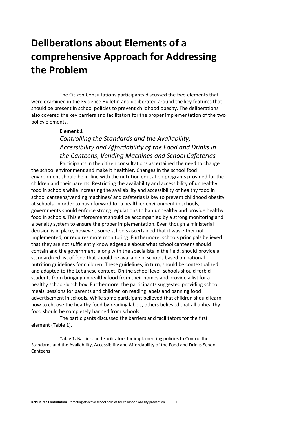#### <span id="page-14-0"></span>**Deliberations about Elements of a comprehensive Approach for Addressing the Problem**

The Citizen Consultations participants discussed the two elements that were examined in the Evidence Bulletin and deliberated around the key features that should be present in school policies to prevent childhood obesity. The deliberations also covered the key barriers and facilitators for the proper implementation of the two policy elements.

#### <span id="page-14-1"></span>**Element 1**

#### *Controlling the Standards and the Availability, Accessibility and Affordability of the Food and Drinks in the Canteens, Vending Machines and School Cafeterias*

Participants in the citizen consultations ascertained the need to change the school environment and make it healthier. Changes in the school food environment should be in-line with the nutrition education programs provided for the children and their parents. Restricting the availability and accessibility of unhealthy food in schools while increasing the availability and accessibility of healthy food in school canteens/vending machines/ and cafeterias is key to prevent childhood obesity at schools. In order to push forward for a healthier environment in schools, governments should enforce strong regulations to ban unhealthy and provide healthy food in schools. This enforcement should be accompanied by a strong monitoring and a penalty system to ensure the proper implementation. Even though a ministerial decision is in place, however, some schools ascertained that it was either not implemented, or requires more monitoring. Furthermore, schools principals believed that they are not sufficiently knowledgeable about what school canteens should contain and the government, along with the specialists in the field, should provide a standardized list of food that should be available in schools based on national nutrition guidelines for children. These guidelines, in turn, should be contextualized and adapted to the Lebanese context. On the school level, schools should forbid students from bringing unhealthy food from their homes and provide a list for a healthy school-lunch box. Furthermore, the participants suggested providing school meals, sessions for parents and children on reading labels and banning food advertisement in schools. While some participant believed that children should learn how to choose the healthy food by reading labels, others believed that all unhealthy food should be completely banned from schools.

The participants discussed the barriers and facilitators for the first element (Table 1).

**Table 1.** Barriers and Facilitators for implementing policies to Control the Standards and the Availability, Accessibility and Affordability of the Food and Drinks School Canteens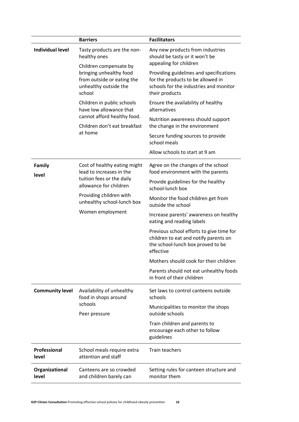|                         | <b>Barriers</b>                                                                                                                                                                                       | <b>Facilitators</b>                                                                                                                      |
|-------------------------|-------------------------------------------------------------------------------------------------------------------------------------------------------------------------------------------------------|------------------------------------------------------------------------------------------------------------------------------------------|
| <b>Individual level</b> | Tasty products are the non-<br>healthy ones<br>Children compensate by<br>bringing unhealthy food<br>from outside or eating the<br>unhealthy outside the<br>school                                     | Any new products from industries<br>should be tasty or it won't be<br>appealing for children                                             |
|                         |                                                                                                                                                                                                       | Providing guidelines and specifications<br>for the products to be allowed in<br>schools for the industries and monitor<br>their products |
|                         | Children in public schools<br>have low allowance that<br>cannot afford healthy food.<br>Children don't eat breakfast<br>at home                                                                       | Ensure the availability of healthy<br>alternatives                                                                                       |
|                         |                                                                                                                                                                                                       | Nutrition awareness should support<br>the change in the environment                                                                      |
|                         |                                                                                                                                                                                                       | Secure funding sources to provide<br>school meals                                                                                        |
|                         |                                                                                                                                                                                                       | Allow schools to start at 9 am                                                                                                           |
| Family                  | Cost of healthy eating might<br>lead to increases in the<br>level<br>tuition fees or the daily<br>allowance for children<br>Providing children with<br>unhealthy school-lunch box<br>Women employment | Agree on the changes of the school<br>food environment with the parents                                                                  |
|                         |                                                                                                                                                                                                       | Provide guidelines for the healthy<br>school-lunch box                                                                                   |
|                         |                                                                                                                                                                                                       | Monitor the food children get from<br>outside the school                                                                                 |
|                         |                                                                                                                                                                                                       | Increase parents' awareness on healthy<br>eating and reading labels                                                                      |
|                         |                                                                                                                                                                                                       | Previous school efforts to give time for<br>children to eat and notify parents on<br>the school-lunch box proved to be<br>effective      |
|                         |                                                                                                                                                                                                       | Mothers should cook for their children                                                                                                   |
|                         |                                                                                                                                                                                                       | Parents should not eat unhealthy foods<br>in front of their children                                                                     |
| <b>Community level</b>  | Availability of unhealthy<br>food in shops around<br>schools<br>Peer pressure                                                                                                                         | Set laws to control canteens outside<br>schools                                                                                          |
|                         |                                                                                                                                                                                                       | Municipalities to monitor the shops<br>outside schools                                                                                   |
|                         |                                                                                                                                                                                                       | Train children and parents to<br>encourage each other to follow<br>guidelines                                                            |
| Professional<br>level   | School meals require extra<br>attention and staff                                                                                                                                                     | <b>Train teachers</b>                                                                                                                    |
| Organizational<br>level | Canteens are so crowded<br>and children barely can                                                                                                                                                    | Setting rules for canteen structure and<br>monitor them                                                                                  |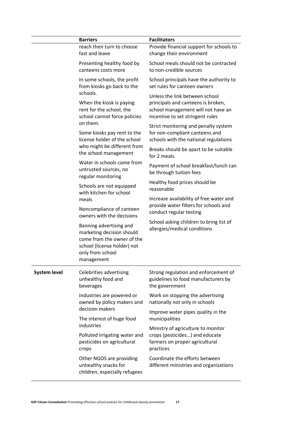|                              | <b>Barriers</b>                                                                                                                                     | <b>Facilitators</b>                                                                                                                            |
|------------------------------|-----------------------------------------------------------------------------------------------------------------------------------------------------|------------------------------------------------------------------------------------------------------------------------------------------------|
|                              | reach their turn to choose<br>fast and leave                                                                                                        | Provide financial support for schools to<br>change their environment                                                                           |
|                              | Presenting healthy food by<br>canteens costs more                                                                                                   | School meals should not be contracted<br>to non-credible sources                                                                               |
|                              | In some schools, the profit<br>from kiosks go back to the                                                                                           | School principals have the authority to<br>set rules for canteen owners                                                                        |
|                              | schools.<br>When the kiosk is paying<br>rent for the school, the<br>school cannot force policies<br>on them.                                        | Unless the link between school<br>principals and canteens is broken,<br>school management will not have an<br>incentive to set stringent rules |
|                              | Some kiosks pay rent to the<br>license holder of the school<br>who might be different from<br>the school management                                 | Strict monitoring and penalty system<br>for non-compliant canteens and<br>schools with the national regulations                                |
|                              |                                                                                                                                                     | Breaks should be apart to be suitable<br>for 2 meals                                                                                           |
|                              | Water in schools come from<br>untrusted sources, no<br>regular monitoring                                                                           | Payment of school breakfast/lunch can<br>be through tuition fees                                                                               |
|                              | Schools are not equipped<br>with kitchen for school                                                                                                 | Healthy food prices should be<br>reasonable                                                                                                    |
|                              | meals<br>Noncompliance of canteen<br>owners with the decisions                                                                                      | Increase availability of free water and<br>provide water filters for schools and                                                               |
|                              |                                                                                                                                                     | conduct regular testing                                                                                                                        |
|                              | Banning advertising and<br>marketing decision should<br>come from the owner of the<br>school (license holder) not<br>only from school<br>management | School asking children to bring list of<br>allergies/medical conditions                                                                        |
| <b>System level</b><br>crops | Celebrities advertising<br>unhealthy food and<br>beverages                                                                                          | Strong regulation and enforcement of<br>guidelines to food manufacturers by<br>the government                                                  |
|                              | Industries are powered or<br>owned by policy makers and                                                                                             | Work on stopping the advertising<br>nationally not only in schools                                                                             |
|                              | decision makers<br>The interest of huge food                                                                                                        | Improve water pipes quality in the<br>municipalities                                                                                           |
|                              | industries                                                                                                                                          | Ministry of agriculture to monitor                                                                                                             |
|                              | Polluted irrigating water and<br>pesticides on agricultural                                                                                         | crops (pesticides) and educate<br>farmers on proper agricultural<br>practices                                                                  |
|                              | Other NGOS are providing<br>unhealthy snacks for<br>children, especially refugees                                                                   | Coordinate the efforts between<br>different ministries and organizations                                                                       |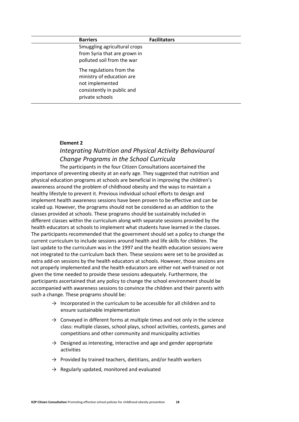#### **Barriers Facilitators**

Smuggling agricultural crops from Syria that are grown in polluted soil from the war

The regulations from the ministry of education are not implemented consistently in public and private schools

#### **Element 2**

#### *Integrating Nutrition and Physical Activity Behavioural Change Programs in the School Curricula*

<span id="page-17-0"></span>The participants in the four Citizen Consultations ascertained the importance of preventing obesity at an early age. They suggested that nutrition and physical education programs at schools are beneficial in improving the children's awareness around the problem of childhood obesity and the ways to maintain a healthy lifestyle to prevent it. Previous individual school efforts to design and implement health awareness sessions have been proven to be effective and can be scaled up. However, the programs should not be considered as an addition to the classes provided at schools. These programs should be sustainably included in different classes within the curriculum along with separate sessions provided by the health educators at schools to implement what students have learned in the classes. The participants recommended that the government should set a policy to change the current curriculum to include sessions around health and life skills for children. The last update to the curriculum was in the 1997 and the health education sessions were not integrated to the curriculum back then. These sessions were set to be provided as extra add-on sessions by the health educators at schools. However, those sessions are not properly implemented and the health educators are either not well-trained or not given the time needed to provide these sessions adequately. Furthermore, the participants ascertained that any policy to change the school environment should be accompanied with awareness sessions to convince the children and their parents with such a change. These programs should be:

- $\rightarrow$  Incorporated in the curriculum to be accessible for all children and to ensure sustainable implementation
- $\rightarrow$  Conveyed in different forms at multiple times and not only in the science class: multiple classes, school plays, school activities, contests, games and competitions and other community and municipality activities
- $\rightarrow$  Designed as interesting, interactive and age and gender appropriate activities
- $\rightarrow$  Provided by trained teachers, dietitians, and/or health workers
- $\rightarrow$  Regularly updated, monitored and evaluated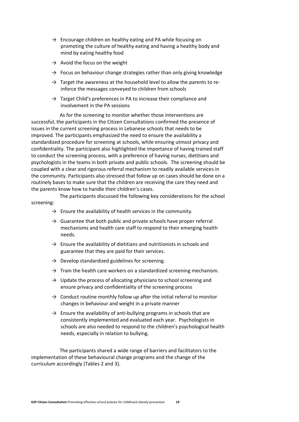- $\rightarrow$  Encourage children on healthy eating and PA while focusing on promoting the culture of healthy eating and having a healthy body and mind by eating healthy food
- $\rightarrow$  Avoid the focus on the weight
- $\rightarrow$  Focus on behaviour change strategies rather than only giving knowledge
- $\rightarrow$  Target the awareness at the household level to allow the parents to reinforce the messages conveyed to children from schools
- $\rightarrow$  Target Child's preferences in PA to increase their compliance and involvement in the PA sessions

As for the screening to monitor whether those interventions are successful, the participants in the Citizen Consultations confirmed the presence of issues in the current screening process in Lebanese schools that needs to be improved. The participants emphasized the need to ensure the availability a standardized procedure for screening at schools, while ensuring utmost privacy and confidentiality. The participant also highlighted the importance of having trained staff to conduct the screening process, with a preference of having nurses, dietitians and psychologists in the teams in both private and public schools. The screening should be coupled with a clear and rigorous referral mechanism to readily available services in the community. Participants also stressed that follow up on cases should be done on a routinely bases to make sure that the children are receiving the care they need and the parents know how to handle their children's cases.

The participants discussed the following key considerations for the school screening:

- $\rightarrow$  Ensure the availability of health services in the community.
- $\rightarrow$  Guarantee that both public and private schools have proper referral mechanisms and health care staff to respond to their emerging health needs.
- $\rightarrow$  Ensure the availability of dietitians and nutritionists in schools and guarantee that they are paid for their services.
- $\rightarrow$  Develop standardized guidelines for screening.
- $\rightarrow$  Train the health care workers on a standardized screening mechanism.
- $\rightarrow$  Update the process of allocating physicians to school screening and ensure privacy and confidentiality of the screening process
- $\rightarrow$  Conduct routine monthly follow up after the initial referral to monitor changes in behaviour and weight in a private manner
- $\rightarrow$  Ensure the availability of anti-bullying programs in schools that are consistently implemented and evaluated each year. Psychologists in schools are also needed to respond to the children's psychological health needs, especially in relation to bullying.

The participants shared a wide range of barriers and facilitators to the implementation of these behavioural change programs and the change of the curriculum accordingly (Tables 2 and 3).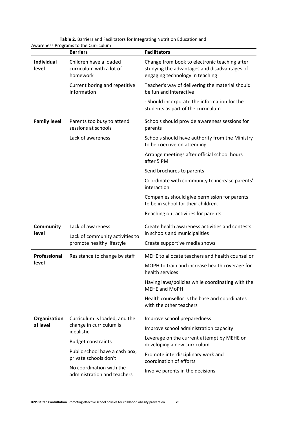|                     | <b>Barriers</b>                                                        | <b>Facilitators</b>                                                                                                              |
|---------------------|------------------------------------------------------------------------|----------------------------------------------------------------------------------------------------------------------------------|
| Individual<br>level | Children have a loaded<br>curriculum with a lot of<br>homework         | Change from book to electronic teaching after<br>studying the advantages and disadvantages of<br>engaging technology in teaching |
|                     | Current boring and repetitive<br>information                           | Teacher's way of delivering the material should<br>be fun and interactive                                                        |
|                     |                                                                        | - Should incorporate the information for the<br>students as part of the curriculum                                               |
| <b>Family level</b> | Parents too busy to attend<br>sessions at schools                      | Schools should provide awareness sessions for<br>parents                                                                         |
|                     | Lack of awareness                                                      | Schools should have authority from the Ministry<br>to be coercive on attending                                                   |
|                     |                                                                        | Arrange meetings after official school hours<br>after 5 PM                                                                       |
|                     |                                                                        | Send brochures to parents                                                                                                        |
|                     |                                                                        | Coordinate with community to increase parents'<br>interaction                                                                    |
|                     |                                                                        | Companies should give permission for parents<br>to be in school for their children.                                              |
|                     |                                                                        | Reaching out activities for parents                                                                                              |
| <b>Community</b>    | Lack of awareness                                                      | Create health awareness activities and contests                                                                                  |
| level               | Lack of community activities to<br>promote healthy lifestyle           | in schools and municipalities                                                                                                    |
|                     |                                                                        | Create supportive media shows                                                                                                    |
| Professional        | Resistance to change by staff                                          | MEHE to allocate teachers and health counsellor                                                                                  |
| level               |                                                                        | MOPH to train and increase health coverage for<br>health services                                                                |
|                     |                                                                        | Having laws/policies while coordinating with the<br><b>MEHE and MoPH</b>                                                         |
|                     |                                                                        | Health counsellor is the base and coordinates<br>with the other teachers                                                         |
| Organization        | Curriculum is loaded, and the<br>change in curriculum is<br>idealistic | Improve school preparedness                                                                                                      |
| al level            |                                                                        | Improve school administration capacity                                                                                           |
|                     | <b>Budget constraints</b>                                              | Leverage on the current attempt by MEHE on<br>developing a new curriculum                                                        |
|                     | Public school have a cash box,<br>private schools don't                | Promote interdisciplinary work and<br>coordination of efforts                                                                    |
|                     | No coordination with the<br>administration and teachers                | Involve parents in the decisions                                                                                                 |

**Table 2.** Barriers and Facilitators for Integrating Nutrition Education and Awareness Programs to the Curriculum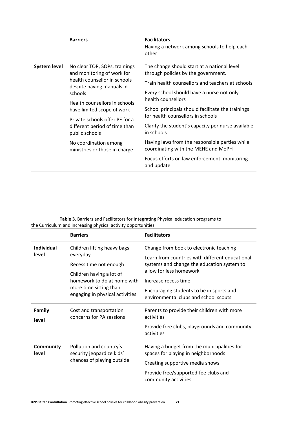|                                                                                                                                                                    | <b>Barriers</b>                                               | <b>Facilitators</b>                                                                    |
|--------------------------------------------------------------------------------------------------------------------------------------------------------------------|---------------------------------------------------------------|----------------------------------------------------------------------------------------|
|                                                                                                                                                                    |                                                               | Having a network among schools to help each<br>other                                   |
| <b>System level</b><br>and monitoring of work for<br>despite having manuals in<br>schools<br>have limited scope of work<br>public schools<br>No coordination among | No clear TOR, SOPs, trainings<br>health counsellor in schools | The change should start at a national level<br>through policies by the government.     |
|                                                                                                                                                                    |                                                               | Train health counsellors and teachers at schools                                       |
|                                                                                                                                                                    |                                                               | Every school should have a nurse not only                                              |
|                                                                                                                                                                    | Health counsellors in schools                                 | health counsellors                                                                     |
|                                                                                                                                                                    |                                                               | School principals should facilitate the trainings<br>for health counsellors in schools |
|                                                                                                                                                                    | Private schools offer PE for a                                |                                                                                        |
|                                                                                                                                                                    | different period of time than                                 | Clarify the student's capacity per nurse available<br>in schools                       |
|                                                                                                                                                                    | ministries or those in charge                                 | Having laws from the responsible parties while<br>coordinating with the MEHE and MoPH  |
|                                                                                                                                                                    |                                                               | Focus efforts on law enforcement, monitoring<br>and update                             |

**Table 3**. Barriers and Facilitators for Integrating Physical education programs to the Curriculum and increasing physical activity opportunities

|                           | <b>Barriers</b>                                                                                                                                                                           | <b>Facilitators</b>                                                                                                                                                                                                                                                              |
|---------------------------|-------------------------------------------------------------------------------------------------------------------------------------------------------------------------------------------|----------------------------------------------------------------------------------------------------------------------------------------------------------------------------------------------------------------------------------------------------------------------------------|
| Individual<br>level       | Children lifting heavy bags<br>everyday<br>Recess time not enough<br>Children having a lot of<br>homework to do at home with<br>more time sitting than<br>engaging in physical activities | Change from book to electronic teaching<br>Learn from countries with different educational<br>systems and change the education system to<br>allow for less homework<br>Increase recess time<br>Encouraging students to be in sports and<br>environmental clubs and school scouts |
| <b>Family</b><br>level    | Cost and transportation<br>concerns for PA sessions                                                                                                                                       | Parents to provide their children with more<br>activities<br>Provide free clubs, playgrounds and community<br>activities                                                                                                                                                         |
| <b>Community</b><br>level | Pollution and country's<br>security jeopardize kids'<br>chances of playing outside                                                                                                        | Having a budget from the municipalities for<br>spaces for playing in neighborhoods<br>Creating supportive media shows<br>Provide free/supported-fee clubs and<br>community activities                                                                                            |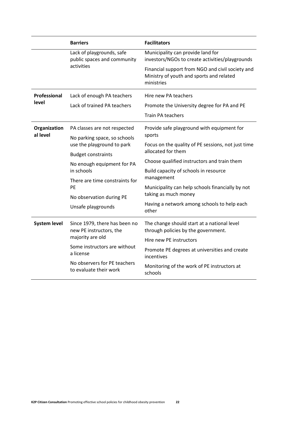|                                                                                                                                                     | <b>Barriers</b>                                                                         | <b>Facilitators</b>                                                                                        |
|-----------------------------------------------------------------------------------------------------------------------------------------------------|-----------------------------------------------------------------------------------------|------------------------------------------------------------------------------------------------------------|
|                                                                                                                                                     | Lack of playgrounds, safe<br>public spaces and community<br>activities                  | Municipality can provide land for<br>investors/NGOs to create activities/playgrounds                       |
|                                                                                                                                                     |                                                                                         | Financial support from NGO and civil society and<br>Ministry of youth and sports and related<br>ministries |
| Professional                                                                                                                                        | Lack of enough PA teachers                                                              | Hire new PA teachers                                                                                       |
| level                                                                                                                                               | Lack of trained PA teachers                                                             | Promote the University degree for PA and PE                                                                |
|                                                                                                                                                     |                                                                                         | <b>Train PA teachers</b>                                                                                   |
| Organization<br>PA classes are not respected<br>al level<br>No parking space, so schools<br>use the playground to park<br><b>Budget constraints</b> |                                                                                         | Provide safe playground with equipment for                                                                 |
|                                                                                                                                                     |                                                                                         | sports                                                                                                     |
|                                                                                                                                                     |                                                                                         | Focus on the quality of PE sessions, not just time<br>allocated for them                                   |
|                                                                                                                                                     |                                                                                         |                                                                                                            |
|                                                                                                                                                     | No enough equipment for PA<br>in schools<br>There are time constraints for<br><b>PF</b> | Choose qualified instructors and train them                                                                |
|                                                                                                                                                     |                                                                                         | Build capacity of schools in resource<br>management                                                        |
|                                                                                                                                                     |                                                                                         | Municipality can help schools financially by not                                                           |
|                                                                                                                                                     |                                                                                         | taking as much money                                                                                       |
|                                                                                                                                                     | No observation during PE<br>Unsafe playgrounds                                          | Having a network among schools to help each<br>other                                                       |
| <b>System level</b>                                                                                                                                 | Since 1979, there has been no<br>new PE instructors, the                                | The change should start at a national level<br>through policies by the government.                         |
|                                                                                                                                                     | majority are old                                                                        | Hire new PE instructors                                                                                    |
|                                                                                                                                                     | Some instructors are without<br>a license                                               | Promote PE degrees at universities and create<br>incentives                                                |
|                                                                                                                                                     | No observers for PE teachers<br>to evaluate their work                                  | Monitoring of the work of PE instructors at<br>schools                                                     |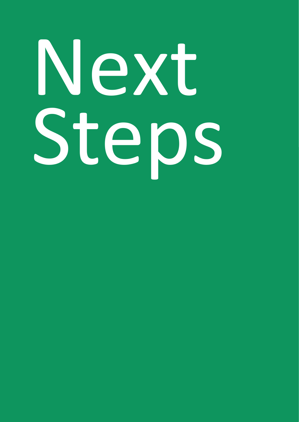# Next Steps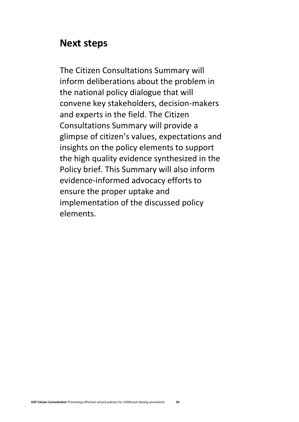#### <span id="page-23-0"></span>**Next steps**

The Citizen Consultations Summary will inform deliberations about the problem in the national policy dialogue that will convene key stakeholders, decision-makers and experts in the field. The Citizen Consultations Summary will provide a glimpse of citizen's values, expectations and insights on the policy elements to support the high quality evidence synthesized in the Policy brief. This Summary will also inform evidence-informed advocacy efforts to ensure the proper uptake and implementation of the discussed policy elements.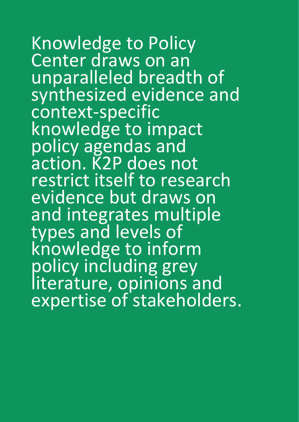Knowledge to Policy Center draws on an unparalleled breadth of synthesized evidence and context-specific knowledge to impact policy agendas and action. K2P does not restrict itself to research evidence but draws on and integrates multiple types and levels of knowledge to inform policy including grey literature, opinions and expertise of stakeholders.